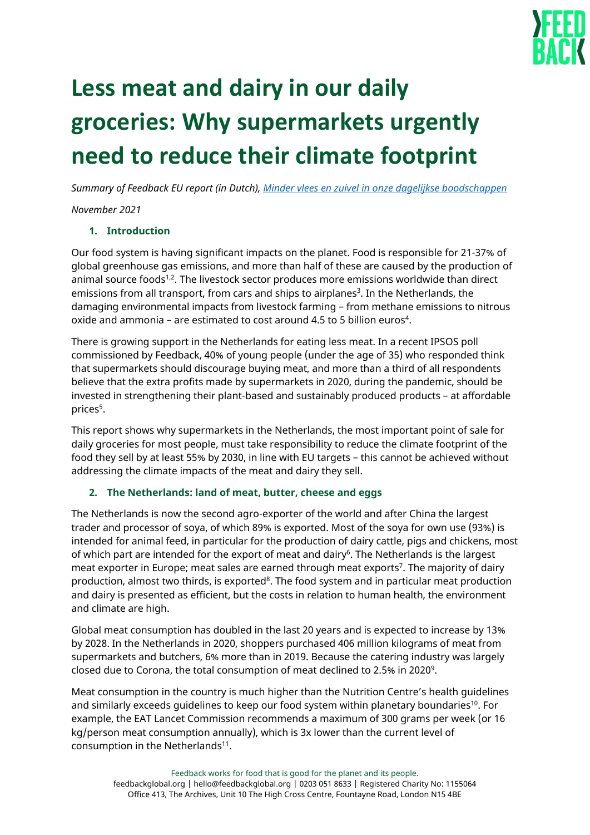

# **Less meat and dairy in our daily groceries: Why supermarkets urgently need to reduce their climate footprint**

*Summary of Feedback EU report (in Dutch)[, Minder vlees en zuivel in onze dagelijkse boodschappen](https://feedbackglobal.org/wp-content/uploads/2021/10/FeedbackEU-MinderVleesEnZuivelinOnzeDagelijkseBoodschappen-Nov2021.pdf)*

*November 2021*

## **1. Introduction**

Our food system is having significant impacts on the planet. Food is responsible for 21-37% of global greenhouse gas emissions, and more than half of these are caused by the production of animal source foods<sup>1,2</sup>. The livestock sector produces more emissions worldwide than direct emissions from all transport, from cars and ships to airplanes<sup>3</sup>. In the Netherlands, the damaging environmental impacts from livestock farming – from methane emissions to nitrous oxide and ammonia - are estimated to cost around 4.5 to 5 billion euros<sup>4</sup>.

There is growing support in the Netherlands for eating less meat. In a recent IPSOS poll commissioned by Feedback, 40% of young people (under the age of 35) who responded think that supermarkets should discourage buying meat, and more than a third of all respondents believe that the extra profits made by supermarkets in 2020, during the pandemic, should be invested in strengthening their plant-based and sustainably produced products – at affordable prices<sup>5</sup>.

This report shows why supermarkets in the Netherlands, the most important point of sale for daily groceries for most people, must take responsibility to reduce the climate footprint of the food they sell by at least 55% by 2030, in line with EU targets – this cannot be achieved without addressing the climate impacts of the meat and dairy they sell.

# **2. The Netherlands: land of meat, butter, cheese and eggs**

The Netherlands is now the second agro-exporter of the world and after China the largest trader and processor of soya, of which 89% is exported. Most of the soya for own use (93%) is intended for animal feed, in particular for the production of dairy cattle, pigs and chickens, most of which part are intended for the export of meat and dairy<sup>6</sup>. The Netherlands is the largest meat exporter in Europe; meat sales are earned through meat exports<sup>7</sup>. The majority of dairy production, almost two thirds, is exported<sup>8</sup>. The food system and in particular meat production and dairy is presented as efficient, but the costs in relation to human health, the environment and climate are high.

Global meat consumption has doubled in the last 20 years and is expected to increase by 13% by 2028. In the Netherlands in 2020, shoppers purchased 406 million kilograms of meat from supermarkets and butchers, 6% more than in 2019. Because the catering industry was largely closed due to Corona, the total consumption of meat declined to 2.5% in 2020<sup>9</sup>.

Meat consumption in the country is much higher than the Nutrition Centre's health guidelines and similarly exceeds guidelines to keep our food system within planetary boundaries<sup>10</sup>. For example, the EAT Lancet Commission recommends a maximum of 300 grams per week (or 16 kg/person meat consumption annually), which is 3x lower than the current level of consumption in the Netherlands $11$ .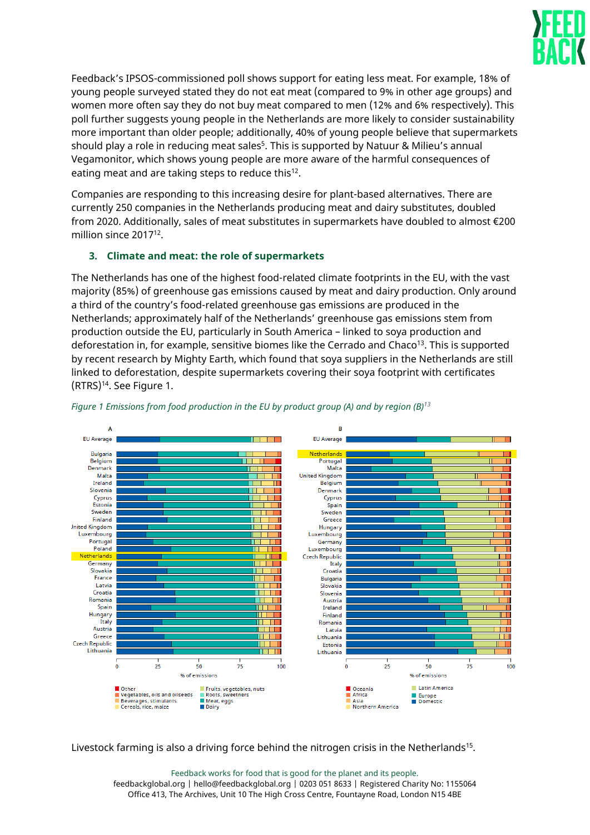

Feedback's IPSOS-commissioned poll shows support for eating less meat. For example, 18% of young people surveyed stated they do not eat meat (compared to 9% in other age groups) and women more often say they do not buy meat compared to men (12% and 6% respectively). This poll further suggests young people in the Netherlands are more likely to consider sustainability more important than older people; additionally, 40% of young people believe that supermarkets should play a role in reducing meat sales<sup>5</sup>. This is supported by Natuur & Milieu's annual Vegamonitor, which shows young people are more aware of the harmful consequences of eating meat and are taking steps to reduce this<sup>12</sup>.

Companies are responding to this increasing desire for plant-based alternatives. There are currently 250 companies in the Netherlands producing meat and dairy substitutes, doubled from 2020. Additionally, sales of meat substitutes in supermarkets have doubled to almost €200 million since 2017<sup>12</sup>.

# **3. Climate and meat: the role of supermarkets**

The Netherlands has one of the highest food-related climate footprints in the EU, with the vast majority (85%) of greenhouse gas emissions caused by meat and dairy production. Only around a third of the country's food-related greenhouse gas emissions are produced in the Netherlands; approximately half of the Netherlands' greenhouse gas emissions stem from production outside the EU, particularly in South America – linked to soya production and deforestation in, for example, sensitive biomes like the Cerrado and Chaco $13$ . This is supported by recent research by Mighty Earth, which found that soya suppliers in the Netherlands are still linked to deforestation, despite supermarkets covering their soya footprint with certificates (RTRS)<sup>14</sup>. See Figure 1.



*Figure 1 Emissions from food production in the EU by product group (A) and by region (B)<sup>13</sup>*

Livestock farming is also a driving force behind the nitrogen crisis in the Netherlands<sup>15</sup>.

Feedback works for food that is good for the planet and its people. feedbackglobal.org | hello@feedbackglobal.org | 0203 051 8633 | Registered Charity No: 1155064 Office 413, The Archives, Unit 10 The High Cross Centre, Fountayne Road, London N15 4BE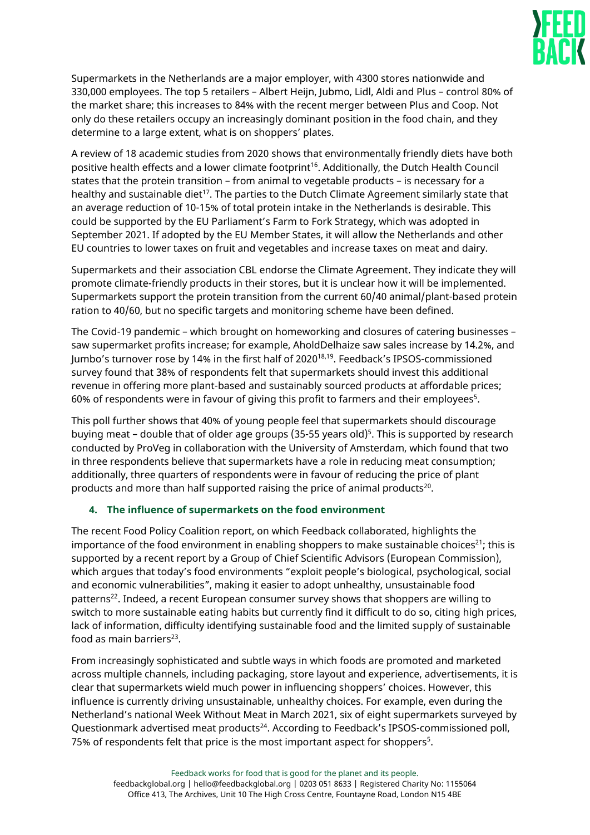

Supermarkets in the Netherlands are a major employer, with 4300 stores nationwide and 330,000 employees. The top 5 retailers – Albert Heijn, Jubmo, Lidl, Aldi and Plus – control 80% of the market share; this increases to 84% with the recent merger between Plus and Coop. Not only do these retailers occupy an increasingly dominant position in the food chain, and they determine to a large extent, what is on shoppers' plates.

A review of 18 academic studies from 2020 shows that environmentally friendly diets have both positive health effects and a lower climate footprint<sup>16</sup>. Additionally, the Dutch Health Council states that the protein transition – from animal to vegetable products – is necessary for a healthy and sustainable diet<sup>17</sup>. The parties to the Dutch Climate Agreement similarly state that an average reduction of 10-15% of total protein intake in the Netherlands is desirable. This could be supported by the EU Parliament's Farm to Fork Strategy, which was adopted in September 2021. If adopted by the EU Member States, it will allow the Netherlands and other EU countries to lower taxes on fruit and vegetables and increase taxes on meat and dairy.

Supermarkets and their association CBL endorse the Climate Agreement. They indicate they will promote climate-friendly products in their stores, but it is unclear how it will be implemented. Supermarkets support the protein transition from the current 60/40 animal/plant-based protein ration to 40/60, but no specific targets and monitoring scheme have been defined.

The Covid-19 pandemic – which brought on homeworking and closures of catering businesses – saw supermarket profits increase; for example, AholdDelhaize saw sales increase by 14.2%, and Jumbo's turnover rose by 14% in the first half of 202018,19. Feedback's IPSOS-commissioned survey found that 38% of respondents felt that supermarkets should invest this additional revenue in offering more plant-based and sustainably sourced products at affordable prices; 60% of respondents were in favour of giving this profit to farmers and their employees<sup>5</sup> .

This poll further shows that 40% of young people feel that supermarkets should discourage buying meat – double that of older age groups (35-55 years old)<sup>5</sup>. This is supported by research conducted by ProVeg in collaboration with the University of Amsterdam, which found that two in three respondents believe that supermarkets have a role in reducing meat consumption; additionally, three quarters of respondents were in favour of reducing the price of plant products and more than half supported raising the price of animal products $^{20}$ .

#### **4. The influence of supermarkets on the food environment**

The recent Food Policy Coalition report, on which Feedback collaborated, highlights the importance of the food environment in enabling shoppers to make sustainable choices<sup>21</sup>; this is supported by a recent report by a Group of Chief Scientific Advisors (European Commission), which argues that today's food environments "exploit people's biological, psychological, social and economic vulnerabilities", making it easier to adopt unhealthy, unsustainable food patterns<sup>22</sup>. Indeed, a recent European consumer survey shows that shoppers are willing to switch to more sustainable eating habits but currently find it difficult to do so, citing high prices, lack of information, difficulty identifying sustainable food and the limited supply of sustainable food as main barriers $^{23}$ .

From increasingly sophisticated and subtle ways in which foods are promoted and marketed across multiple channels, including packaging, store layout and experience, advertisements, it is clear that supermarkets wield much power in influencing shoppers' choices. However, this influence is currently driving unsustainable, unhealthy choices. For example, even during the Netherland's national Week Without Meat in March 2021, six of eight supermarkets surveyed by Questionmark advertised meat products<sup>24</sup>. According to Feedback's IPSOS-commissioned poll, 75% of respondents felt that price is the most important aspect for shoppers<sup>5</sup>.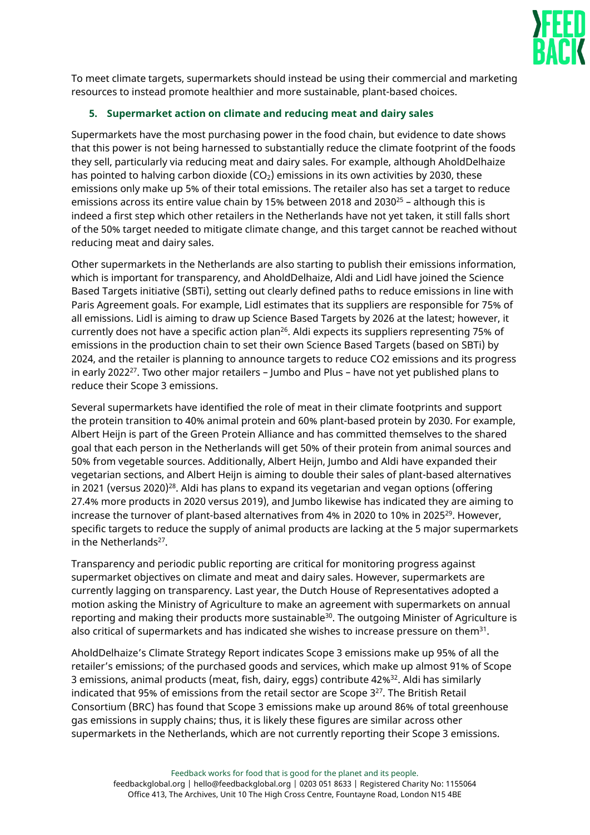

To meet climate targets, supermarkets should instead be using their commercial and marketing resources to instead promote healthier and more sustainable, plant-based choices.

## **5. Supermarket action on climate and reducing meat and dairy sales**

Supermarkets have the most purchasing power in the food chain, but evidence to date shows that this power is not being harnessed to substantially reduce the climate footprint of the foods they sell, particularly via reducing meat and dairy sales. For example, although AholdDelhaize has pointed to halving carbon dioxide  $(CO<sub>2</sub>)$  emissions in its own activities by 2030, these emissions only make up 5% of their total emissions. The retailer also has set a target to reduce emissions across its entire value chain by 15% between 2018 and 2030<sup>25</sup> – although this is indeed a first step which other retailers in the Netherlands have not yet taken, it still falls short of the 50% target needed to mitigate climate change, and this target cannot be reached without reducing meat and dairy sales.

Other supermarkets in the Netherlands are also starting to publish their emissions information, which is important for transparency, and AholdDelhaize, Aldi and Lidl have joined the Science Based Targets initiative (SBTi), setting out clearly defined paths to reduce emissions in line with Paris Agreement goals. For example, Lidl estimates that its suppliers are responsible for 75% of all emissions. Lidl is aiming to draw up Science Based Targets by 2026 at the latest; however, it currently does not have a specific action plan<sup>26</sup>. Aldi expects its suppliers representing 75% of emissions in the production chain to set their own Science Based Targets (based on SBTi) by 2024, and the retailer is planning to announce targets to reduce CO2 emissions and its progress in early 2022<sup>27</sup>. Two other major retailers – Jumbo and Plus – have not yet published plans to reduce their Scope 3 emissions.

Several supermarkets have identified the role of meat in their climate footprints and support the protein transition to 40% animal protein and 60% plant-based protein by 2030. For example, Albert Heijn is part of the Green Protein Alliance and has committed themselves to the shared goal that each person in the Netherlands will get 50% of their protein from animal sources and 50% from vegetable sources. Additionally, Albert Heijn, Jumbo and Aldi have expanded their vegetarian sections, and Albert Heijn is aiming to double their sales of plant-based alternatives in 2021 (versus 2020) $^{28}$ . Aldi has plans to expand its vegetarian and vegan options (offering 27.4% more products in 2020 versus 2019), and Jumbo likewise has indicated they are aiming to increase the turnover of plant-based alternatives from 4% in 2020 to 10% in 2025<sup>29</sup>. However, specific targets to reduce the supply of animal products are lacking at the 5 major supermarkets in the Netherlands<sup>27</sup>.

Transparency and periodic public reporting are critical for monitoring progress against supermarket objectives on climate and meat and dairy sales. However, supermarkets are currently lagging on transparency. Last year, the Dutch House of Representatives adopted a motion asking the Ministry of Agriculture to make an agreement with supermarkets on annual reporting and making their products more sustainable<sup>30</sup>. The outgoing Minister of Agriculture is also critical of supermarkets and has indicated she wishes to increase pressure on them $^{31}\!$ .

AholdDelhaize's Climate Strategy Report indicates Scope 3 emissions make up 95% of all the retailer's emissions; of the purchased goods and services, which make up almost 91% of Scope 3 emissions, animal products (meat, fish, dairy, eggs) contribute 42%<sup>32</sup>. Aldi has similarly indicated that 95% of emissions from the retail sector are Scope  $3^{27}$ . The British Retail Consortium (BRC) has found that Scope 3 emissions make up around 86% of total greenhouse gas emissions in supply chains; thus, it is likely these figures are similar across other supermarkets in the Netherlands, which are not currently reporting their Scope 3 emissions.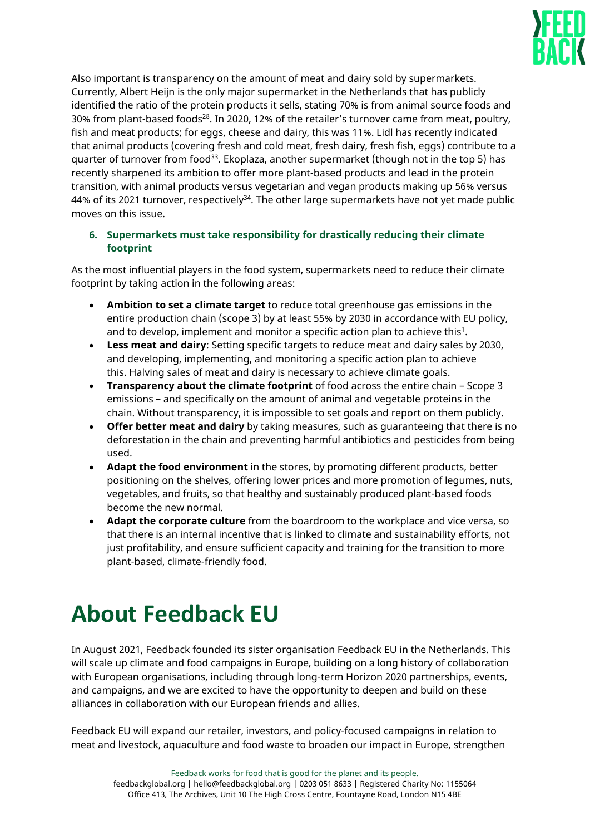

Also important is transparency on the amount of meat and dairy sold by supermarkets. Currently, Albert Heijn is the only major supermarket in the Netherlands that has publicly identified the ratio of the protein products it sells, stating 70% is from animal source foods and 30% from plant-based foods<sup>28</sup>. In 2020, 12% of the retailer's turnover came from meat, poultry, fish and meat products; for eggs, cheese and dairy, this was 11%. Lidl has recently indicated that animal products (covering fresh and cold meat, fresh dairy, fresh fish, eggs) contribute to a quarter of turnover from food<sup>33</sup>. Ekoplaza, another supermarket (though not in the top 5) has recently sharpened its ambition to offer more plant-based products and lead in the protein transition, with animal products versus vegetarian and vegan products making up 56% versus 44% of its 2021 turnover, respectively<sup>34</sup>. The other large supermarkets have not yet made public moves on this issue.

# **6. Supermarkets must take responsibility for drastically reducing their climate footprint**

As the most influential players in the food system, supermarkets need to reduce their climate footprint by taking action in the following areas:

- **Ambition to set a climate target** to reduce total greenhouse gas emissions in the entire production chain (scope 3) by at least 55% by 2030 in accordance with EU policy, and to develop, implement and monitor a specific action plan to achieve this<sup>1</sup>.
- **Less meat and dairy**: Setting specific targets to reduce meat and dairy sales by 2030, and developing, implementing, and monitoring a specific action plan to achieve this. Halving sales of meat and dairy is necessary to achieve climate goals.
- **Transparency about the climate footprint** of food across the entire chain Scope 3 emissions – and specifically on the amount of animal and vegetable proteins in the chain. Without transparency, it is impossible to set goals and report on them publicly.
- **Offer better meat and dairy** by taking measures, such as guaranteeing that there is no deforestation in the chain and preventing harmful antibiotics and pesticides from being used.
- **Adapt the food environment** in the stores, by promoting different products, better positioning on the shelves, offering lower prices and more promotion of legumes, nuts, vegetables, and fruits, so that healthy and sustainably produced plant-based foods become the new normal.
- **Adapt the corporate culture** from the boardroom to the workplace and vice versa, so that there is an internal incentive that is linked to climate and sustainability efforts, not just profitability, and ensure sufficient capacity and training for the transition to more plant-based, climate-friendly food.

# **About Feedback EU**

In August 2021, Feedback founded its sister organisation Feedback EU in the Netherlands. This will scale up climate and food campaigns in Europe, building on a long history of collaboration with European organisations, including through long-term Horizon 2020 partnerships, events, and campaigns, and we are excited to have the opportunity to deepen and build on these alliances in collaboration with our European friends and allies.

Feedback EU will expand our retailer, investors, and policy-focused campaigns in relation to meat and livestock, aquaculture and food waste to broaden our impact in Europe, strengthen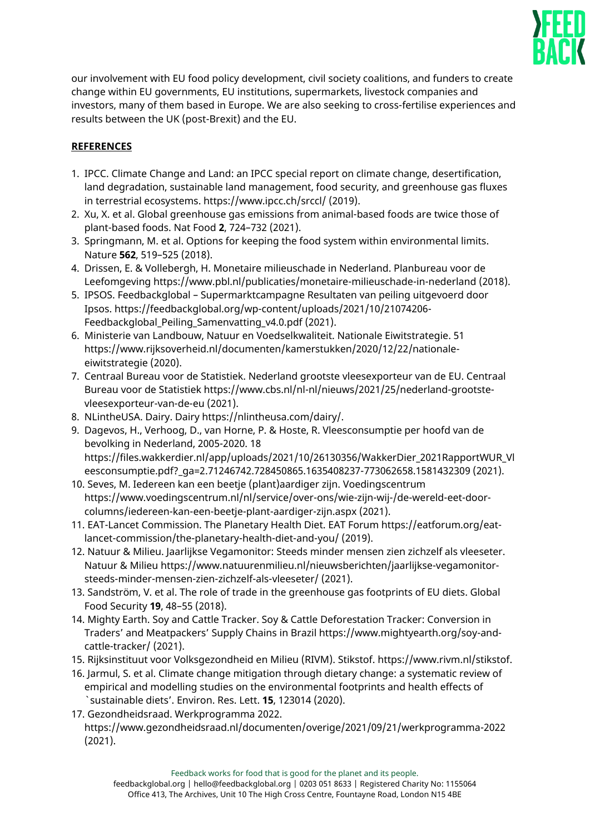

our involvement with EU food policy development, civil society coalitions, and funders to create change within EU governments, EU institutions, supermarkets, livestock companies and investors, many of them based in Europe. We are also seeking to cross-fertilise experiences and results between the UK (post-Brexit) and the EU.

# **REFERENCES**

- 1. IPCC. Climate Change and Land: an IPCC special report on climate change, desertification, land degradation, sustainable land management, food security, and greenhouse gas fluxes in terrestrial ecosystems. https://www.ipcc.ch/srccl/ (2019).
- 2. Xu, X. et al. Global greenhouse gas emissions from animal-based foods are twice those of plant-based foods. Nat Food **2**, 724–732 (2021).
- 3. Springmann, M. et al. Options for keeping the food system within environmental limits. Nature **562**, 519–525 (2018).
- 4. Drissen, E. & Vollebergh, H. Monetaire milieuschade in Nederland. Planbureau voor de Leefomgeving https://www.pbl.nl/publicaties/monetaire-milieuschade-in-nederland (2018).
- 5. IPSOS. Feedbackglobal Supermarktcampagne Resultaten van peiling uitgevoerd door Ipsos. https://feedbackglobal.org/wp-content/uploads/2021/10/21074206- Feedbackglobal Peiling Samenvatting v4.0.pdf (2021).
- 6. Ministerie van Landbouw, Natuur en Voedselkwaliteit. Nationale Eiwitstrategie. 51 https://www.rijksoverheid.nl/documenten/kamerstukken/2020/12/22/nationaleeiwitstrategie (2020).
- 7. Centraal Bureau voor de Statistiek. Nederland grootste vleesexporteur van de EU. Centraal Bureau voor de Statistiek https://www.cbs.nl/nl-nl/nieuws/2021/25/nederland-grootstevleesexporteur-van-de-eu (2021).
- 8. NLintheUSA. Dairy. Dairy https://nlintheusa.com/dairy/.
- 9. Dagevos, H., Verhoog, D., van Horne, P. & Hoste, R. Vleesconsumptie per hoofd van de bevolking in Nederland, 2005-2020. 18 https://files.wakkerdier.nl/app/uploads/2021/10/26130356/WakkerDier\_2021RapportWUR\_Vl eesconsumptie.pdf?\_ga=2.71246742.728450865.1635408237-773062658.1581432309 (2021).
- 10. Seves, M. Iedereen kan een beetje (plant)aardiger zijn. Voedingscentrum https://www.voedingscentrum.nl/nl/service/over-ons/wie-zijn-wij-/de-wereld-eet-doorcolumns/iedereen-kan-een-beetje-plant-aardiger-zijn.aspx (2021).
- 11. EAT-Lancet Commission. The Planetary Health Diet. EAT Forum https://eatforum.org/eatlancet-commission/the-planetary-health-diet-and-you/ (2019).
- 12. Natuur & Milieu. Jaarlijkse Vegamonitor: Steeds minder mensen zien zichzelf als vleeseter. Natuur & Milieu https://www.natuurenmilieu.nl/nieuwsberichten/jaarlijkse-vegamonitorsteeds-minder-mensen-zien-zichzelf-als-vleeseter/ (2021).
- 13. Sandström, V. et al. The role of trade in the greenhouse gas footprints of EU diets. Global Food Security **19**, 48–55 (2018).
- 14. Mighty Earth. Soy and Cattle Tracker. Soy & Cattle Deforestation Tracker: Conversion in Traders' and Meatpackers' Supply Chains in Brazil https://www.mightyearth.org/soy-andcattle-tracker/ (2021).
- 15. Rijksinstituut voor Volksgezondheid en Milieu (RIVM). Stikstof. https://www.rivm.nl/stikstof.
- 16. Jarmul, S. et al. Climate change mitigation through dietary change: a systematic review of empirical and modelling studies on the environmental footprints and health effects of `sustainable diets'. Environ. Res. Lett. **15**, 123014 (2020).
- 17. Gezondheidsraad. Werkprogramma 2022. https://www.gezondheidsraad.nl/documenten/overige/2021/09/21/werkprogramma-2022 (2021).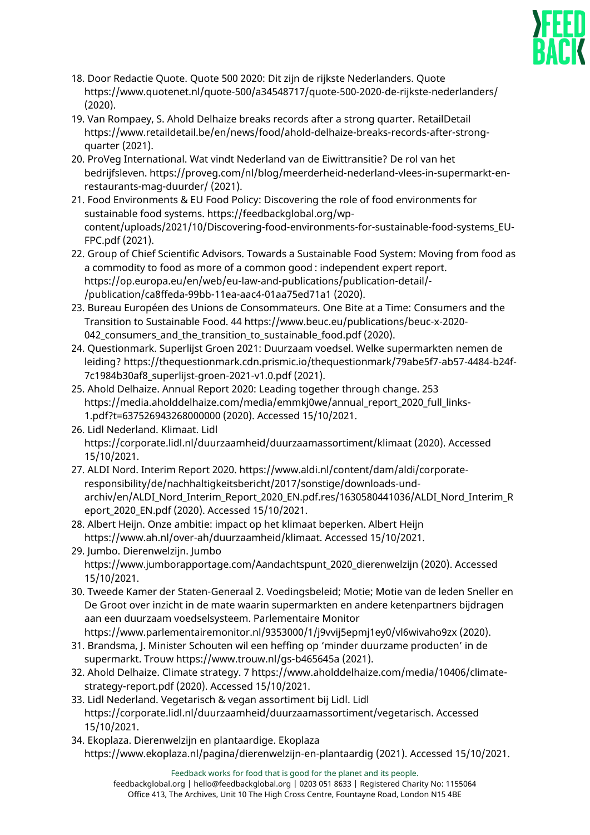

- 18. Door Redactie Quote. Quote 500 2020: Dit zijn de rijkste Nederlanders. Quote https://www.quotenet.nl/quote-500/a34548717/quote-500-2020-de-rijkste-nederlanders/ (2020).
- 19. Van Rompaey, S. Ahold Delhaize breaks records after a strong quarter. RetailDetail https://www.retaildetail.be/en/news/food/ahold-delhaize-breaks-records-after-strongquarter (2021).
- 20. ProVeg International. Wat vindt Nederland van de Eiwittransitie? De rol van het bedrijfsleven. https://proveg.com/nl/blog/meerderheid-nederland-vlees-in-supermarkt-enrestaurants-mag-duurder/ (2021).
- 21. Food Environments & EU Food Policy: Discovering the role of food environments for sustainable food systems. https://feedbackglobal.org/wpcontent/uploads/2021/10/Discovering-food-environments-for-sustainable-food-systems\_EU-FPC.pdf (2021).
- 22. Group of Chief Scientific Advisors. Towards a Sustainable Food System: Moving from food as a commodity to food as more of a common good : independent expert report. https://op.europa.eu/en/web/eu-law-and-publications/publication-detail/- /publication/ca8ffeda-99bb-11ea-aac4-01aa75ed71a1 (2020).
- 23. Bureau Européen des Unions de Consommateurs. One Bite at a Time: Consumers and the Transition to Sustainable Food. 44 https://www.beuc.eu/publications/beuc-x-2020- 042 consumers and the transition to sustainable food.pdf (2020).
- 24. Questionmark. Superlijst Groen 2021: Duurzaam voedsel. Welke supermarkten nemen de leiding? https://thequestionmark.cdn.prismic.io/thequestionmark/79abe5f7-ab57-4484-b24f-7c1984b30af8\_superlijst-groen-2021-v1.0.pdf (2021).
- 25. Ahold Delhaize. Annual Report 2020: Leading together through change. 253 https://media.aholddelhaize.com/media/emmkj0we/annual\_report\_2020\_full\_links-1.pdf?t=637526943268000000 (2020). Accessed 15/10/2021.
- 26. Lidl Nederland. Klimaat. Lidl https://corporate.lidl.nl/duurzaamheid/duurzaamassortiment/klimaat (2020). Accessed 15/10/2021.
- 27. ALDI Nord. Interim Report 2020. https://www.aldi.nl/content/dam/aldi/corporateresponsibility/de/nachhaltigkeitsbericht/2017/sonstige/downloads-undarchiv/en/ALDI\_Nord\_Interim\_Report\_2020\_EN.pdf.res/1630580441036/ALDI\_Nord\_Interim\_R eport\_2020\_EN.pdf (2020). Accessed 15/10/2021.
- 28. Albert Heijn. Onze ambitie: impact op het klimaat beperken. Albert Heijn https://www.ah.nl/over-ah/duurzaamheid/klimaat. Accessed 15/10/2021.
- 29. Jumbo. Dierenwelzijn. Jumbo https://www.jumborapportage.com/Aandachtspunt\_2020\_dierenwelzijn (2020). Accessed 15/10/2021.
- 30. Tweede Kamer der Staten-Generaal 2. Voedingsbeleid; Motie; Motie van de leden Sneller en De Groot over inzicht in de mate waarin supermarkten en andere ketenpartners bijdragen aan een duurzaam voedselsysteem. Parlementaire Monitor https://www.parlementairemonitor.nl/9353000/1/j9vvij5epmj1ey0/vl6wivaho9zx (2020).
- 31. Brandsma, J. Minister Schouten wil een heffing op 'minder duurzame producten' in de supermarkt. Trouw https://www.trouw.nl/gs-b465645a (2021).
- 32. Ahold Delhaize. Climate strategy. 7 https://www.aholddelhaize.com/media/10406/climatestrategy-report.pdf (2020). Accessed 15/10/2021.
- 33. Lidl Nederland. Vegetarisch & vegan assortiment bij Lidl. Lidl https://corporate.lidl.nl/duurzaamheid/duurzaamassortiment/vegetarisch. Accessed 15/10/2021.
- 34. Ekoplaza. Dierenwelzijn en plantaardige. Ekoplaza https://www.ekoplaza.nl/pagina/dierenwelzijn-en-plantaardig (2021). Accessed 15/10/2021.